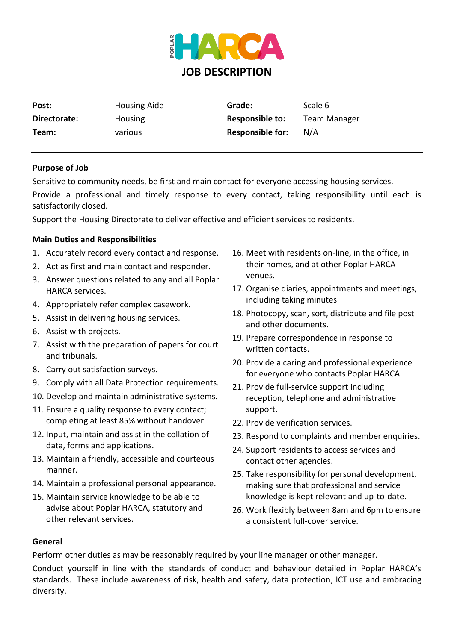

| Post:        | Housing Aide | Grade:                  | Scale 6             |
|--------------|--------------|-------------------------|---------------------|
| Directorate: | Housing      | <b>Responsible to:</b>  | <b>Team Manager</b> |
| Team:        | various      | <b>Responsible for:</b> | N/A                 |

## **Purpose of Job**

Sensitive to community needs, be first and main contact for everyone accessing housing services.

Provide a professional and timely response to every contact, taking responsibility until each is satisfactorily closed.

Support the Housing Directorate to deliver effective and efficient services to residents.

## **Main Duties and Responsibilities**

- 1. Accurately record every contact and response.
- 2. Act as first and main contact and responder.
- 3. Answer questions related to any and all Poplar HARCA services.
- 4. Appropriately refer complex casework.
- 5. Assist in delivering housing services.
- 6. Assist with projects.
- 7. Assist with the preparation of papers for court and tribunals.
- 8. Carry out satisfaction surveys.
- 9. Comply with all Data Protection requirements.
- 10. Develop and maintain administrative systems.
- 11. Ensure a quality response to every contact; completing at least 85% without handover.
- 12. Input, maintain and assist in the collation of data, forms and applications.
- 13. Maintain a friendly, accessible and courteous manner.
- 14. Maintain a professional personal appearance.
- 15. Maintain service knowledge to be able to advise about Poplar HARCA, statutory and other relevant services.
- 16. Meet with residents on-line, in the office, in their homes, and at other Poplar HARCA venues.
- 17. Organise diaries, appointments and meetings, including taking minutes
- 18. Photocopy, scan, sort, distribute and file post and other documents.
- 19. Prepare correspondence in response to written contacts.
- 20. Provide a caring and professional experience for everyone who contacts Poplar HARCA.
- 21. Provide full-service support including reception, telephone and administrative support.
- 22. Provide verification services.
- 23. Respond to complaints and member enquiries.
- 24. Support residents to access services and contact other agencies.
- 25. Take responsibility for personal development, making sure that professional and service knowledge is kept relevant and up-to-date.
- 26. Work flexibly between 8am and 6pm to ensure a consistent full-cover service.

## **General**

Perform other duties as may be reasonably required by your line manager or other manager.

Conduct yourself in line with the standards of conduct and behaviour detailed in Poplar HARCA's standards. These include awareness of risk, health and safety, data protection, ICT use and embracing diversity.